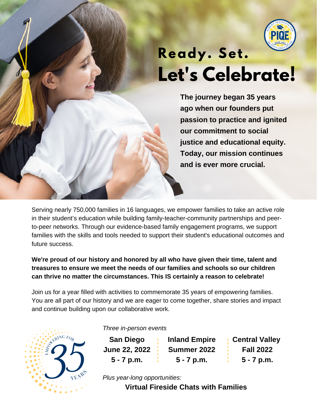

# **Let's Celebrate! Ready. Set.**

**The journey began 35 years ago when our founders put passion to practice and ignited our commitment to social justice and educational equity. Today, our mission continues and is ever more crucial.**

Serving nearly 750,000 families in 16 languages, we empower families to take an active role in their student's education while building family-teacher-community partnerships and peerto-peer networks. Through our evidence-based family engagement programs, we support families with the skills and tools needed to support their student's educational outcomes and future success.

**We're proud of our history and honored by all who have given their time, talent and treasures to ensure we meet the needs of our families and schools so our children can thrive no matter the circumstances. This IS certainly a reason to celebrate!**

Join us for a year filled with activities to commemorate 35 years of empowering families. You are all part of our history and we are eager to come together, share stories and impact and continue building upon our collaborative work.



*Three in-person events*

**San Diego June 22, 2022 5 - 7 p.m.**

**Inland Empire Summer 2022 5 - 7 p.m.**

**Central Valley Fall 2022 5 - 7 p.m.**

*Plus year-long opportunities:*

**Virtual Fireside Chats with Families**